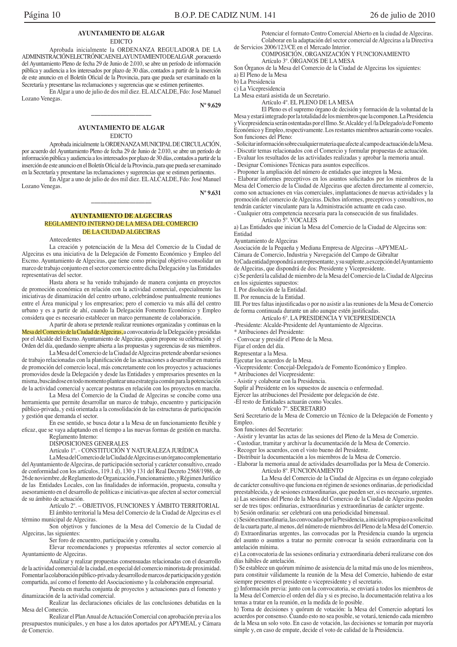### **AYUNTAMIENTO DE ALGAR EDICTO**

Aprobada inicialmente la ORDENANZA REGULADORA DE LA ADMINISTRACIÓNELECTRÓNICAENELAYUNTAMIENTODEALGAR ,poracuerdo del Ayuntamiento Pleno de fecha 29 de Junio de 2.010, se abre un período de información pública y audiencia a los interesados por plazo de 30 días, contados a partir de la inserción de este anuncio en el Boletín Oficial de la Provincia, para que pueda ser examinado en la Secretaría y presentarse las reclamaciones y sugerencias que se estimen pertinentes.

En Algar a uno de julio de dos mil diez. EL ALCALDE, Fdo: José Manuel Lozano Venegas.

 $N^{\circ}$  9.629

# **AYUNTAMIENTO DE ALGAR**

**EDICTO** 

Aprobada inicialmente la ORDENANZA MUNICIPAL DE CIRCULACIÓN, por acuerdo del Ayuntamiento Pleno de fecha 29 de Junio de 2.010, se abre un período de información pública y audiencia a los interesados por plazo de 30 días, contados a partir de la inserción de este anuncio en el Boletín Oficial de la Provincia, para que pueda ser examinado en la Secretaría y presentarse las reclamaciones y sugerencias que se estimen pertinentes.

En Algar a uno de julio de dos mil diez. EL ALCALDE, Fdo: José Manuel Lozano Venegas.

 $N^{\rm o}$  9.631

### **AYUNTAMIENTO DE ALGECIRAS** REGLAMENTO INTERNO DE LA MESA DEL COMERCIO **DE LA CIUDAD ALGECIRAS**

Antecedentes

La creación y potenciación de la Mesa del Comercio de la Ciudad de Algeciras es una iniciativa de la Delegación de Fomento Económico y Empleo del Excmo. Ayuntamiento de Algeciras, que tiene como principal objetivo consolidar un marco de trabajo conjunto en el sector comercio entre dicha Delegación y las Entidades representativas del sector.

Hasta ahora se ha venido trabajando de manera conjunta en proyectos de promoción económica en relación con la actividad comercial, especialmente las iniciativas de dinamización del centro urbano, celebrándose puntualmente reuniones entre el Área municipal y los empresarios; pero el comercio va más allá del centro urbano y es a partir de ahí, cuando la Delegación Fomento Económico y Empleo considera que es necesario establecer un marco permanente de colaboración.

A partir de ahora se pretende realizar reuniones organizadas y continuas en la Mesa del Comercio de la Ciudad de Algeciras, a convocatoria de la Delegación y presididas por el Alcalde del Excmo. Ayuntamiento de Algeciras, quien propone su celebración y el Orden del día, quedando siempre abierta a las propuestas y sugerencias de sus miembros.

La Mesa del Comercio de la Ciudad de Algeciras pretende abordar sesiones de trabajo relacionadas con la planificación de las actuaciones a desarrollar en materia de promoción del comercio local, más concretamente con los proyectos y actuaciones promovidos desde la Delegación y desde las Entidades y empresarios presentes en la misma, buscándose en todo momento plantear una estrategia común para la potenciación de la actividad comercial y acercar posturas en relación con los proyectos en marcha.

La Mesa del Comercio de la Ciudad de Algeciras se concibe como una herramienta que permite desarrollar un marco de trabajo, encuentro y participación público-privada, y está orientada a la consolidación de las estructuras de participación y gestión que demanda el sector.

En ese sentido, se busca dotar a la Mesa de un funcionamiento flexible y eficaz, que se vaya adaptando en el tiempo a las nuevas formas de gestión en marcha.

Reglamento Interno: DISPOSICIONES GENERALES

### Artículo 1º. - CONSTITUCIÓN Y NATURALEZA JURÍDICA

La Mesa del Comercio de la Ciudad de Algeciras es un órgano complementario del Ayuntamiento de Algeciras, de participación sectorial y carácter consultivo, creado de conformidad con los artículos, 119.1 d), 130 y 131 del Real Decreto 2568/1986, de 26 de noviembre, de Reglamento de Organización, Funcionamiento, y Régimen Jurídico de las Entidades Locales, con las finalidades de información, propuesta, consulta y asesoramiento en el desarrollo de políticas e iniciativas que afecten al sector comercial de su ámbito de actuación.

Artículo 2°. – OBJETIVOS, FUNCIONES Y ÁMBITO TERRITORIAL

El ámbito territorial la Mesa del Comercio de la Ciudad de Algeciras es el término municipal de Algeciras.

Son objetivos y funciones de la Mesa del Comercio de la Ciudad de Algeciras, las siguientes:

Ser foro de encuentro, participación y consulta.

Elevar recomendaciones y propuestas referentes al sector comercio al Ayuntamiento de Algeciras.

Analizar y realizar propuestas consensuadas relacionadas con el desarrollo de la actividad comercial de la ciudad, en especial del comercio minorista de proximidad. Fomentar la colaboración público-privada y desarrollo de marcos de participación y gestión compartida, así como el fomento del Asociacionismo y la colaboración empresarial.

Puesta en marcha conjunta de proyectos y actuaciones para el fomento y dinamización de la actividad comercial.

Realizar las declaraciones oficiales de las conclusiones debatidas en la Mesa del Comercio.

Realizar el Plan Anual de Actuación Comercial con aprobación previa a los presupuestos municipales, y en base a los datos aportados por APYMEAL y Cámara de Comercio

Potenciar el formato Centro Comercial Abierto en la ciudad de Algeciras. Colaborar en la adaptación del sector comercial de Algeciras a la Directiva de Servicios 2006/123/CE en el Mercado Interior.

### COMPOSICIÓN, ORGANIZACIÓN Y FUNCIONAMIENTO Artículo 3°. ÓRGANOS DE LA MESA

Son Órganos de la Mesa del Comercio de la Ciudad de Algeciras los siguientes:

a) El Pleno de la Mesa

b) La Presidencia

c) La Vicepresidencia

La Mesa estará asistida de un Secretario.

Artículo 4°. EL PLENO DE LA MESA

El Pleno es el supremo órgano de decisión y formación de la voluntad de la Mesa y estará integrado por la totalidad de los miembros que la componen. La Presidencia y Vicepresidencia serán ostentadas por el Ilmo. Sr. Alcalde y el /la Delegado/a de Fomento Económico y Empleo, respectivamente. Los restantes miembros actuarán como vocales. Son funciones del Pleno:

- Solicitar información sobre cualquier materia que afecte al campo de actuación de la Mesa.

- Discutir temas relacionados con el Comercio y formular propuestas de actuación.

- Evaluar los resultados de las actividades realizadas y aprobar la memoria anual.

- Designar Comisiones Técnicas para asuntos específicos.

- Proponer la ampliación del número de entidades que integren la Mesa.

- Elaborar informes preceptivos en los asuntos solicitados por los miembros de la Mesa del Comercio de la Ciudad de Algeciras que afecten directamente al comercio, como son actuaciones en vías comerciales, implantaciones de nuevas actividades y la promoción del comercio de Algeciras. Dichos informes, preceptivos y consultivos, no tendrán carácter vinculante para la Administración actuante en cada caso.

- Cualquier otra competencia necesaria para la consecución de sus finalidades.

Artículo 5º. VOCALES

a) Las Entidades que inician la Mesa del Comercio de la Ciudad de Algeciras son: Entidad

Ayuntamiento de Algeciras

Asociación de la Pequeña y Mediana Empresa de Algeciras -APYMEAL-

Cámara de Comercio, Industria y Navegación del Campo de Gibraltar

b) Cada entidad propondrá a un representante, y su suplente, a excepción del Ayuntamiento de Algeciras, que dispondrá de dos: Presidente y Vicepresidente.

c) Se perderá la calidad de miembro de la Mesa del Comercio de la Ciudad de Algeciras en los siguientes supuestos:

I. Por disolución de la Entidad.

II. Por renuncia de la Entidad.

III. Por tres faltas injustificadas o por no asistir a las reuniones de la Mesa de Comercio de forma continuada durante un año aunque estén justificadas.

Artículo 6°. LA PRESIDENCIA Y VICEPRESIDENCIA

-Presidente: Alcalde-Presidente del Ayuntamiento de Algeciras.

\* Atribuciones del Presidente:

- Convocar y presidir el Pleno de la Mesa.

Fijar el orden del día.

Representar a la Mesa.

Ejecutar los acuerdos de la Mesa.

-Vicepresidente: Conceial-Delegado/a de Fomento Económico y Empleo.

\* Atribuciones del Vicepresidente:

- Asistir y colaborar con la Presidencia.

Suplir al Presidente en los supuestos de ausencia o enfermedad.

Eiercer las atribuciones del Presidente por delegación de éste.

-El resto de Entidades actuarán como Vocales.<br>Artículo 7º. SECRETARIO

Será Secretario de la Mesa de Comercio un Técnico de la Delegación de Fomento y Empleo.

Son funciones del Secretario:

- Asistir y levantar las actas de las sesiones del Pleno de la Mesa de Comercio.

- Custodiar, tramitar y archivar la documentación de la Mesa de Comercio.

- Recoger los acuerdos, con el visto bueno del Presidente.

- Distribuir la documentación a los miembros de la Mesa de Comercio.

- Elaborar la memoria anual de actividades desarrolladas por la Mesa de Comercio. Artículo 8°. FUNCIONAMIENTO

La Mesa del Comercio de la Ciudad de Algeciras es un órgano colegiado de carácter consultivo que funciona en régimen de sesiones ordinarias, de periodicidad preestablecida, y de sesiones extraordinarias, que pueden ser, si es necesario, urgentes. a) Las sesiones del Pleno de la Mesa del Comercio de la Ciudad de Algeciras pueden ser de tres tipos: ordinarias, extraordinarias y extraordinarias de carácter urgente. b) Sesión ordinaria: ser celebrará con una periodicidad bimensual.

c) Sesión extraordinaria, las convocadas por la Presidencia, a iniciativa propia o a solicitud de la cuarta parte, al menos, del número de miembros del Pleno de la Mesa del Comercio. d) Extraordinarias urgentes, las convocadas por la Presidencia cuando la urgencia del asunto o asuntos a tratar no permite convocar la sesión extraordinaria con la antelación mínima.

e) La convocatoria de las sesiones ordinaria y extraordinaria deberá realizarse con dos días hábiles de antelación.

f) Se establece un quórum mínimo de asistencia de la mitad más uno de los miembros, para constituir válidamente la reunión de la Mesa del Comercio, habiendo de estar siempre presentes el presidente o vicepresidente y el secretario.

g) Información previa: junto con la convocatoria, se enviará a todos los miembros de la Mesa del Comercio el orden del día y si es preciso, la documentación relativa a los temas a tratar en la reunión, en la medida de lo posible.

h) Toma de decisiones y quórum de votación: la Mesa del Comercio adoptará los acuerdos por consenso. Cuando esto no sea posible, se votará, teniendo cada miembro de la Mesa un solo voto. En caso de votación, las decisiones se tomarán por mayoría simple y, en caso de empate, decide el voto de calidad de la Presidencia.